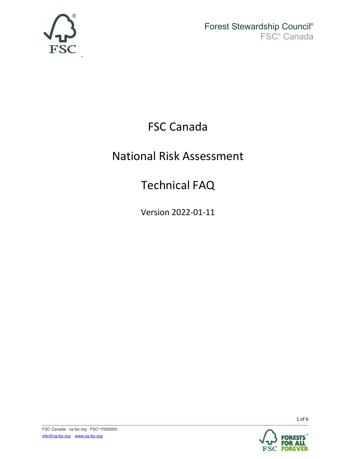

¬

Forest Stewardship Council® FSC® Canada

## FSC Canada

## National Risk Assessment

## Technical FAQ

Version 2022-01-11

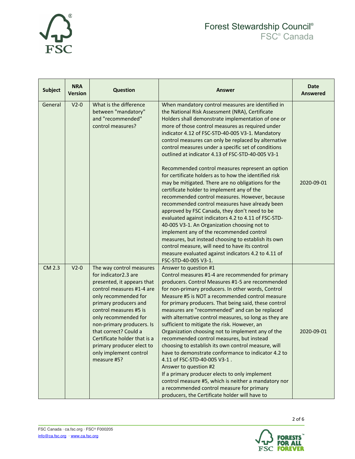

#### Forest Stewardship Council® FSC® Canada

| <b>Subject</b> | <b>NRA</b><br><b>Version</b> | <b>Question</b>                                                                                                                                                                                                                                                                                                                                                            | Answer                                                                                                                                                                                                                                                                                                                                                                                                                                                                                                                                                                                                                                                                                                                                                                                                                                                                                                                                                                                                                                                                                                                           | <b>Date</b><br><b>Answered</b> |
|----------------|------------------------------|----------------------------------------------------------------------------------------------------------------------------------------------------------------------------------------------------------------------------------------------------------------------------------------------------------------------------------------------------------------------------|----------------------------------------------------------------------------------------------------------------------------------------------------------------------------------------------------------------------------------------------------------------------------------------------------------------------------------------------------------------------------------------------------------------------------------------------------------------------------------------------------------------------------------------------------------------------------------------------------------------------------------------------------------------------------------------------------------------------------------------------------------------------------------------------------------------------------------------------------------------------------------------------------------------------------------------------------------------------------------------------------------------------------------------------------------------------------------------------------------------------------------|--------------------------------|
| General        | $V2-0$                       | What is the difference<br>between "mandatory"<br>and "recommended"<br>control measures?                                                                                                                                                                                                                                                                                    | When mandatory control measures are identified in<br>the National Risk Assessment (NRA), Certificate<br>Holders shall demonstrate implementation of one or<br>more of those control measures as required under<br>indicator 4.12 of FSC-STD-40-005 V3-1. Mandatory<br>control measures can only be replaced by alternative<br>control measures under a specific set of conditions<br>outlined at indicator 4.13 of FSC-STD-40-005 V3-1<br>Recommended control measures represent an option<br>for certificate holders as to how the identified risk<br>may be mitigated. There are no obligations for the<br>certificate holder to implement any of the<br>recommended control measures. However, because<br>recommended control measures have already been<br>approved by FSC Canada, they don't need to be<br>evaluated against indicators 4.2 to 4.11 of FSC-STD-<br>40-005 V3-1. An Organization choosing not to<br>implement any of the recommended control<br>measures, but instead choosing to establish its own<br>control measure, will need to have its control<br>measure evaluated against indicators 4.2 to 4.11 of | 2020-09-01                     |
| <b>CM 2.3</b>  | $V2-0$                       | The way control measures<br>for indicator2.3 are<br>presented, it appears that<br>control measures #1-4 are<br>only recommended for<br>primary producers and<br>control measures #5 is<br>only recommended for<br>non-primary producers. Is<br>that correct? Could a<br>Certificate holder that is a<br>primary producer elect to<br>only implement control<br>measure #5? | FSC-STD-40-005 V3-1.<br>Answer to question #1<br>Control measures #1-4 are recommended for primary<br>producers. Control Measures #1-5 are recommended<br>for non-primary producers. In other words, Control<br>Measure #5 is NOT a recommended control measure<br>for primary producers. That being said, these control<br>measures are "recommended" and can be replaced<br>with alternative control measures, so long as they are<br>sufficient to mitigate the risk. However, an<br>Organization choosing not to implement any of the<br>recommended control measures, but instead<br>choosing to establish its own control measure, will<br>have to demonstrate conformance to indicator 4.2 to<br>4.11 of FSC-STD-40-005 V3-1.<br>Answer to question #2<br>If a primary producer elects to only implement<br>control measure #5, which is neither a mandatory nor<br>a recommended control measure for primary<br>producers, the Certificate holder will have to                                                                                                                                                           | 2020-09-01                     |

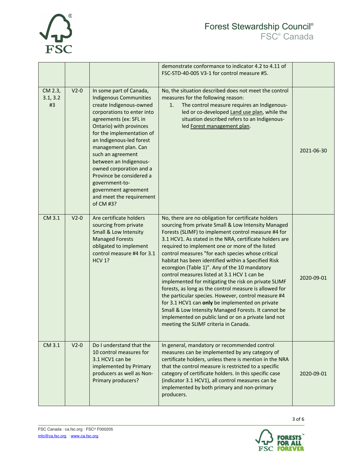

|                           |        |                                                                                                                                                                                                                                                                                                                                                                                                                                                  | demonstrate conformance to indicator 4.2 to 4.11 of<br>FSC-STD-40-005 V3-1 for control measure #5.                                                                                                                                                                                                                                                                                                                                                                                                                                                                                                                                                                                                                                                                                                                                                                             |            |
|---------------------------|--------|--------------------------------------------------------------------------------------------------------------------------------------------------------------------------------------------------------------------------------------------------------------------------------------------------------------------------------------------------------------------------------------------------------------------------------------------------|--------------------------------------------------------------------------------------------------------------------------------------------------------------------------------------------------------------------------------------------------------------------------------------------------------------------------------------------------------------------------------------------------------------------------------------------------------------------------------------------------------------------------------------------------------------------------------------------------------------------------------------------------------------------------------------------------------------------------------------------------------------------------------------------------------------------------------------------------------------------------------|------------|
| CM 2.3,<br>3.1, 3.2<br>#3 | $V2-0$ | In some part of Canada,<br><b>Indigenous Communities</b><br>create Indigenous-owned<br>corporations to enter into<br>agreements (ex: SFL in<br>Ontario) with provinces<br>for the implementation of<br>an Indigenous-led forest<br>management plan. Can<br>such an agreement<br>between an Indigenous-<br>owned corporation and a<br>Province be considered a<br>government-to-<br>government agreement<br>and meet the requirement<br>of CM #3? | No, the situation described does not meet the control<br>measures for the following reason:<br>The control measure requires an Indigenous-<br>1.<br>led or co-developed Land use plan, while the<br>situation described refers to an Indigenous-<br>led Forest management plan.                                                                                                                                                                                                                                                                                                                                                                                                                                                                                                                                                                                                | 2021-06-30 |
| CM 3.1                    | $V2-0$ | Are certificate holders<br>sourcing from private<br>Small & Low Intensity<br><b>Managed Forests</b><br>obligated to implement<br>control measure #4 for 3.1<br><b>HCV 1?</b>                                                                                                                                                                                                                                                                     | No, there are no obligation for certificate holders<br>sourcing from private Small & Low Intensity Managed<br>Forests (SLIMF) to implement control measure #4 for<br>3.1 HCV1. As stated in the NRA, certificate holders are<br>required to implement one or more of the listed<br>control measures "for each species whose critical<br>habitat has been identified within a Specified Risk<br>ecoregion (Table 1)". Any of the 10 mandatory<br>control measures listed at 3.1 HCV 1 can be<br>implemented for mitigating the risk on private SLIMF<br>forests, as long as the control measure is allowed for<br>the particular species. However, control measure #4<br>for 3.1 HCV1 can only be implemented on private<br>Small & Low Intensity Managed Forests. It cannot be<br>implemented on public land or on a private land not<br>meeting the SLIMF criteria in Canada. | 2020-09-01 |
| CM 3.1                    | $V2-0$ | Do I understand that the<br>10 control measures for<br>3.1 HCV1 can be<br>implemented by Primary<br>producers as well as Non-<br>Primary producers?                                                                                                                                                                                                                                                                                              | In general, mandatory or recommended control<br>measures can be implemented by any category of<br>certificate holders, unless there is mention in the NRA<br>that the control measure is restricted to a specific<br>category of certificate holders. In this specific case<br>(indicator 3.1 HCV1), all control measures can be<br>implemented by both primary and non-primary<br>producers.                                                                                                                                                                                                                                                                                                                                                                                                                                                                                  | 2020-09-01 |

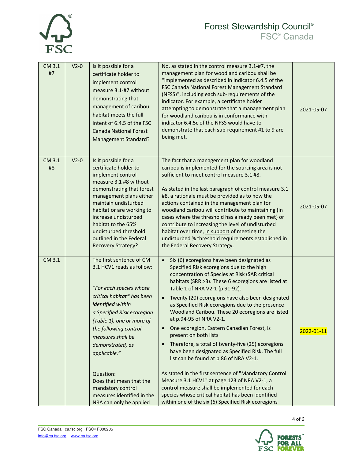

#### Forest Stewardship Council® FSC® Canada

| CM 3.1<br>#7 | $V2-0$ | Is it possible for a<br>certificate holder to<br>implement control<br>measure 3.1-#7 without<br>demonstrating that<br>management of caribou<br>habitat meets the full<br>intent of 6.4.5 of the FSC<br><b>Canada National Forest</b><br><b>Management Standard?</b>                                                                                                                                    | No, as stated in the control measure 3.1-#7, the<br>management plan for woodland caribou shall be<br>"implemented as described in Indicator 6.4.5 of the<br>FSC Canada National Forest Management Standard<br>(NFSS)", including each sub-requirements of the<br>indicator. For example, a certificate holder<br>attempting to demonstrate that a management plan<br>for woodland caribou is in conformance with<br>indicator 6.4.5c of the NFSS would have to<br>demonstrate that each sub-requirement #1 to 9 are<br>being met.                                                                                                                                                                                                                                                                                                                                                                                                                    | 2021-05-07 |
|--------------|--------|--------------------------------------------------------------------------------------------------------------------------------------------------------------------------------------------------------------------------------------------------------------------------------------------------------------------------------------------------------------------------------------------------------|------------------------------------------------------------------------------------------------------------------------------------------------------------------------------------------------------------------------------------------------------------------------------------------------------------------------------------------------------------------------------------------------------------------------------------------------------------------------------------------------------------------------------------------------------------------------------------------------------------------------------------------------------------------------------------------------------------------------------------------------------------------------------------------------------------------------------------------------------------------------------------------------------------------------------------------------------|------------|
| CM 3.1<br>#8 | $V2-0$ | Is it possible for a<br>certificate holder to<br>implement control<br>measure 3.1 #8 without<br>demonstrating that forest<br>management plans either<br>maintain undisturbed<br>habitat or are working to<br>increase undisturbed<br>habitat to the 65%<br>undisturbed threshold<br>outlined in the Federal<br><b>Recovery Strategy?</b>                                                               | The fact that a management plan for woodland<br>caribou is implemented for the sourcing area is not<br>sufficient to meet control measure 3.1 #8.<br>As stated in the last paragraph of control measure 3.1<br>#8, a rationale must be provided as to how the<br>actions contained in the management plan for<br>woodland caribou will contribute to maintaining (in<br>cases where the threshold has already been met) or<br>contribute to increasing the level of undisturbed<br>habitat over time, in support of meeting the<br>undisturbed % threshold requirements established in<br>the Federal Recovery Strategy.                                                                                                                                                                                                                                                                                                                             | 2021-05-07 |
| CM 3.1       |        | The first sentence of CM<br>3.1 HCV1 reads as follow:<br>"For each species whose<br>critical habitat* has been<br>identified within<br>a Specified Risk ecoregion<br>(Table 1), one or more of<br>the following control<br>measures shall be<br>demonstrated, as<br>applicable."<br>Question:<br>Does that mean that the<br>mandatory control<br>measures identified in the<br>NRA can only be applied | Six (6) ecoregions have been designated as<br>$\bullet$<br>Specified Risk ecoregions due to the high<br>concentration of Species at Risk (SAR critical<br>habitats (SRR >3). These 6 ecoregions are listed at<br>Table 1 of NRA V2-1 (p 91-92).<br>Twenty (20) ecoregions have also been designated<br>$\bullet$<br>as Specified Risk ecoregions due to the presence<br>Woodland Caribou. These 20 ecoregions are listed<br>at p.94-95 of NRA V2-1.<br>One ecoregion, Eastern Canadian Forest, is<br>present on both lists<br>Therefore, a total of twenty-five (25) ecoregions<br>have been designated as Specified Risk. The full<br>list can be found at p.86 of NRA V2-1.<br>As stated in the first sentence of "Mandatory Control<br>Measure 3.1 HCV1" at page 123 of NRA V2-1, a<br>control measure shall be implemented for each<br>species whose critical habitat has been identified<br>within one of the six (6) Specified Risk ecoregions | 2022-01-11 |

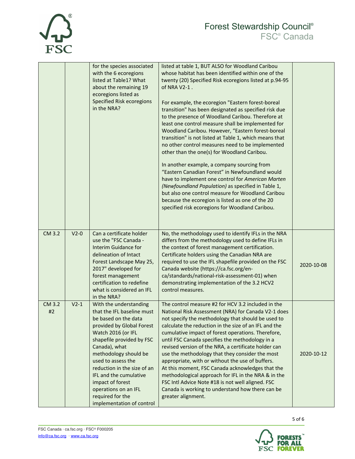# **FSC**

#### Forest Stewardship Council® FSC® Canada

|              |        | for the species associated<br>with the 6 ecoregions<br>listed at Table1? What<br>about the remaining 19<br>ecoregions listed as<br><b>Specified Risk ecoregions</b><br>in the NRA?                                                                                                                                                                                                 | listed at table 1, BUT ALSO for Woodland Caribou<br>whose habitat has been identified within one of the<br>twenty (20) Specified Risk ecoregions listed at p.94-95<br>of NRA V2-1.<br>For example, the ecoregion "Eastern forest-boreal<br>transition" has been designated as specified risk due<br>to the presence of Woodland Caribou. Therefore at<br>least one control measure shall be implemented for<br>Woodland Caribou. However, "Eastern forest-boreal<br>transition" is not listed at Table 1, which means that<br>no other control measures need to be implemented<br>other than the one(s) for Woodland Caribou.<br>In another example, a company sourcing from<br>"Eastern Canadian Forest" in Newfoundland would<br>have to implement one control for American Marten<br>(Newfoundland Population) as specified in Table 1,<br>but also one control measure for Woodland Caribou<br>because the ecoregion is listed as one of the 20<br>specified risk ecoregions for Woodland Caribou. |            |
|--------------|--------|------------------------------------------------------------------------------------------------------------------------------------------------------------------------------------------------------------------------------------------------------------------------------------------------------------------------------------------------------------------------------------|--------------------------------------------------------------------------------------------------------------------------------------------------------------------------------------------------------------------------------------------------------------------------------------------------------------------------------------------------------------------------------------------------------------------------------------------------------------------------------------------------------------------------------------------------------------------------------------------------------------------------------------------------------------------------------------------------------------------------------------------------------------------------------------------------------------------------------------------------------------------------------------------------------------------------------------------------------------------------------------------------------|------------|
| CM 3.2       | $V2-0$ | Can a certificate holder<br>use the "FSC Canada -<br>Interim Guidance for<br>delineation of Intact<br>Forest Landscape May 25,<br>2017" developed for<br>forest management<br>certification to redefine<br>what is considered an IFL<br>in the NRA?                                                                                                                                | No, the methodology used to identify IFLs in the NRA<br>differs from the methodology used to define IFLs in<br>the context of forest management certification.<br>Certificate holders using the Canadian NRA are<br>required to use the IFL shapefile provided on the FSC<br>Canada website (https://ca.fsc.org/en-<br>ca/standards/national-risk-assessment-01) when<br>demonstrating implementation of the 3.2 HCV2<br>control measures.                                                                                                                                                                                                                                                                                                                                                                                                                                                                                                                                                             | 2020-10-08 |
| CM 3.2<br>#2 | $V2-1$ | With the understanding<br>that the IFL baseline must<br>be based on the data<br>provided by Global Forest<br>Watch 2016 (or IFL<br>shapefile provided by FSC<br>Canada), what<br>methodology should be<br>used to assess the<br>reduction in the size of an<br>IFL and the cumulative<br>impact of forest<br>operations on an IFL<br>required for the<br>implementation of control | The control measure #2 for HCV 3.2 included in the<br>National Risk Assessment (NRA) for Canada V2-1 does<br>not specify the methodology that should be used to<br>calculate the reduction in the size of an IFL and the<br>cumulative impact of forest operations. Therefore,<br>until FSC Canada specifies the methodology in a<br>revised version of the NRA, a certificate holder can<br>use the methodology that they consider the most<br>appropriate, with or without the use of buffers.<br>At this moment, FSC Canada acknowledges that the<br>methodological approach for IFL in the NRA & in the<br>FSC Intl Advice Note #18 is not well aligned. FSC<br>Canada is working to understand how there can be<br>greater alignment.                                                                                                                                                                                                                                                             | 2020-10-12 |